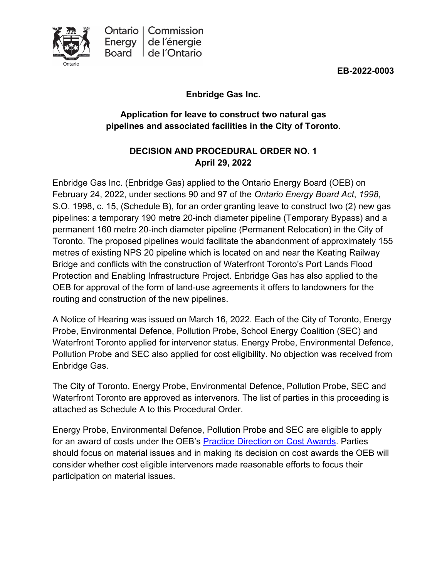**EB-2022-0003**



# **Enbridge Gas Inc.**

# **Application for leave to construct two natural gas pipelines and associated facilities in the City of Toronto.**

# **DECISION AND PROCEDURAL ORDER NO. 1 April 29, 2022**

Enbridge Gas Inc. (Enbridge Gas) applied to the Ontario Energy Board (OEB) on February 24, 2022, under sections 90 and 97 of the *Ontario Energy Board Act*, *1998*, S.O. 1998, c. 15, (Schedule B), for an order granting leave to construct two (2) new gas pipelines: a temporary 190 metre 20-inch diameter pipeline (Temporary Bypass) and a permanent 160 metre 20-inch diameter pipeline (Permanent Relocation) in the City of Toronto. The proposed pipelines would facilitate the abandonment of approximately 155 metres of existing NPS 20 pipeline which is located on and near the Keating Railway Bridge and conflicts with the construction of Waterfront Toronto's Port Lands Flood Protection and Enabling Infrastructure Project. Enbridge Gas has also applied to the OEB for approval of the form of land-use agreements it offers to landowners for the routing and construction of the new pipelines.

A Notice of Hearing was issued on March 16, 2022*.* Each of the City of Toronto, Energy Probe, Environmental Defence, Pollution Probe, School Energy Coalition (SEC) and Waterfront Toronto applied for intervenor status. Energy Probe, Environmental Defence, Pollution Probe and SEC also applied for cost eligibility. No objection was received from Enbridge Gas.

The City of Toronto, Energy Probe, Environmental Defence, Pollution Probe, SEC and Waterfront Toronto are approved as intervenors. The list of parties in this proceeding is attached as Schedule A to this Procedural Order.

Energy Probe, Environmental Defence, Pollution Probe and SEC are eligible to apply for an award of costs under the OEB's [Practice Direction on Cost Awards.](https://www.oeb.ca/industry/rules-codes-and-requirements/practice-direction-cost-awards) Parties should focus on material issues and in making its decision on cost awards the OEB will consider whether cost eligible intervenors made reasonable efforts to focus their participation on material issues.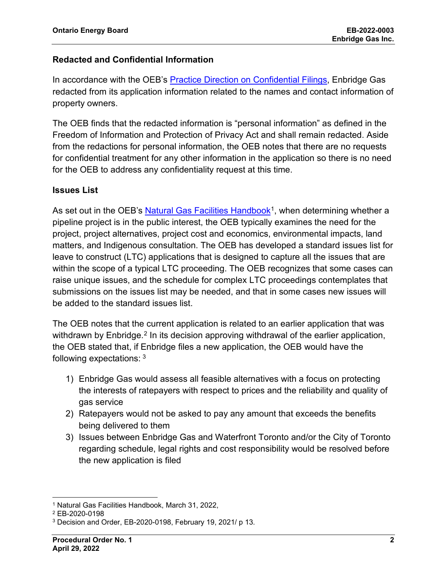# **Redacted and Confidential Information**

In accordance with the OEB's [Practice Direction on Confidential Filings,](https://www.oeb.ca/sites/default/files/uploads/documents/regulatorycodes/2021-12/Practice-Direction-Confidential-Filings-20211217.pdf) Enbridge Gas redacted from its application information related to the names and contact information of property owners.

The OEB finds that the redacted information is "personal information" as defined in the Freedom of Information and Protection of Privacy Act and shall remain redacted. Aside from the redactions for personal information, the OEB notes that there are no requests for confidential treatment for any other information in the application so there is no need for the OEB to address any confidentiality request at this time.

# **Issues List**

As set out in the OEB's [Natural Gas Facilities Handbook](https://www.oeb.ca/sites/default/files/uploads/documents/regulatorycodes/2022-03/OEB-Natural-Gas-Facilities-Handbook-20220331.pdf)<sup>1</sup>, when determining whether a pipeline project is in the public interest, the OEB typically examines the need for the project, project alternatives, project cost and economics, environmental impacts, land matters, and Indigenous consultation. The OEB has developed a standard issues list for leave to construct (LTC) applications that is designed to capture all the issues that are within the scope of a typical LTC proceeding. The OEB recognizes that some cases can raise unique issues, and the schedule for complex LTC proceedings contemplates that submissions on the issues list may be needed, and that in some cases new issues will be added to the standard issues list.

The OEB notes that the current application is related to an earlier application that was withdrawn by Enbridge.<sup>[2](#page-1-1)</sup> In its decision approving withdrawal of the earlier application, the OEB stated that, if Enbridge files a new application, the OEB would have the following expectations: [3](#page-1-2)

- 1) Enbridge Gas would assess all feasible alternatives with a focus on protecting the interests of ratepayers with respect to prices and the reliability and quality of gas service
- 2) Ratepayers would not be asked to pay any amount that exceeds the benefits being delivered to them
- 3) Issues between Enbridge Gas and Waterfront Toronto and/or the City of Toronto regarding schedule, legal rights and cost responsibility would be resolved before the new application is filed

<span id="page-1-0"></span><sup>1</sup> Natural Gas Facilities Handbook, March 31, 2022,

<span id="page-1-1"></span><sup>2</sup> EB-2020-0198

<span id="page-1-2"></span><sup>3</sup> Decision and Order, EB-2020-0198, February 19, 2021/ p 13.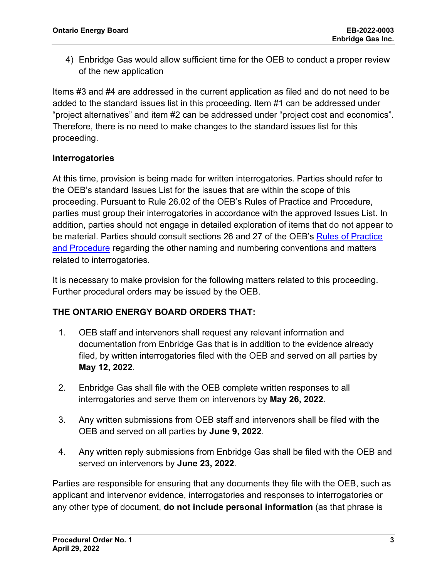4) Enbridge Gas would allow sufficient time for the OEB to conduct a proper review of the new application

Items #3 and #4 are addressed in the current application as filed and do not need to be added to the standard issues list in this proceeding. Item #1 can be addressed under "project alternatives" and item #2 can be addressed under "project cost and economics". Therefore, there is no need to make changes to the standard issues list for this proceeding.

# **Interrogatories**

At this time, provision is being made for written interrogatories. Parties should refer to the OEB's standard Issues List for the issues that are within the scope of this proceeding. Pursuant to Rule 26.02 of the OEB's Rules of Practice and Procedure, parties must group their interrogatories in accordance with the approved Issues List. In addition, parties should not engage in detailed exploration of items that do not appear to be material. Parties should consult sections 26 and 27 of the OEB's [Rules of Practice](https://www.oeb.ca/industry/rules-codes-and-requirements/rules-practice-procedure)  [and Procedure](https://www.oeb.ca/industry/rules-codes-and-requirements/rules-practice-procedure) regarding the other naming and numbering conventions and matters related to interrogatories.

It is necessary to make provision for the following matters related to this proceeding. Further procedural orders may be issued by the OEB.

# **THE ONTARIO ENERGY BOARD ORDERS THAT:**

- 1. OEB staff and intervenors shall request any relevant information and documentation from Enbridge Gas that is in addition to the evidence already filed, by written interrogatories filed with the OEB and served on all parties by **May 12, 2022**.
- 2. Enbridge Gas shall file with the OEB complete written responses to all interrogatories and serve them on intervenors by **May 26, 2022**.
- 3. Any written submissions from OEB staff and intervenors shall be filed with the OEB and served on all parties by **June 9, 2022**.
- 4. Any written reply submissions from Enbridge Gas shall be filed with the OEB and served on intervenors by **June 23, 2022**.

Parties are responsible for ensuring that any documents they file with the OEB, such as applicant and intervenor evidence, interrogatories and responses to interrogatories or any other type of document, **do not include personal information** (as that phrase is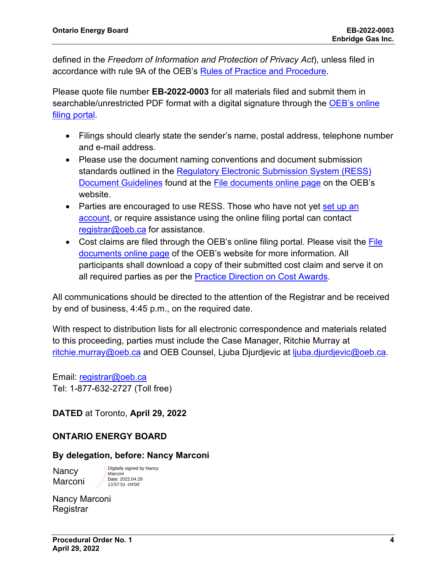defined in the *Freedom of Information and Protection of Privacy Act*), unless filed in accordance with rule 9A of the OEB's [Rules of Practice and Procedure.](https://www.oeb.ca/industry/rules-codes-and-requirements/rules-practice-procedure)

Please quote file number **EB-2022-0003** for all materials filed and submit them in searchable/unrestricted PDF format with a digital signature through the [OEB's online](https://p-pes.ontarioenergyboard.ca/PivotalUX/)  [filing portal.](https://p-pes.ontarioenergyboard.ca/PivotalUX/)

- Filings should clearly state the sender's name, postal address, telephone number and e-mail address.
- Please use the document naming conventions and document submission standards outlined in the [Regulatory Electronic Submission System \(RESS\)](https://www.oeb.ca/sites/default/files/RESS-Document-Guidelines-202006.pdf)  [Document Guidelines](https://www.oeb.ca/sites/default/files/RESS-Document-Guidelines-202006.pdf) found at the [File documents online page](https://www.oeb.ca/regulatory-rules-and-documents/file-documents-online) on the OEB's website.
- Parties are encouraged to use RESS. Those who have not yet set up an [account,](https://www.oeb.ca/oeb/_Documents/e-Filing/Electronic_User_Form.pdf?v=20200331) or require assistance using the online filing portal can contact [registrar@oeb.ca](mailto:registrar@oeb.ca) for assistance.
- Cost claims are filed through the OEB's online filing portal. Please visit the [File](https://www.oeb.ca/regulatory-rules-and-documents/file-documents-online)  [documents online page](https://www.oeb.ca/regulatory-rules-and-documents/file-documents-online) of the OEB's website for more information. All participants shall download a copy of their submitted cost claim and serve it on all required parties as per the **Practice Direction on Cost Awards**.

All communications should be directed to the attention of the Registrar and be received by end of business, 4:45 p.m., on the required date.

With respect to distribution lists for all electronic correspondence and materials related to this proceeding, parties must include the Case Manager, Ritchie Murray at [ritchie.murray@oeb.ca](mailto:ritchie.murray@oeb.ca) and OEB Counsel, Ljuba Djurdjevic at [ljuba.djurdjevic@oeb.ca.](mailto:ljuba.djurdjevic@oeb.ca)

Email: [registrar@oeb.ca](mailto:registrar@oeb.ca) Tel: 1-877-632-2727 (Toll free)

# **DATED** at Toronto, **April 29, 2022**

# **ONTARIO ENERGY BOARD**

### **By delegation, before: Nancy Marconi**

Nancy Marconi Digitally signed by Nancy Marconi Date: 2022.04.29 13:57:51 -04'00'

Nancy Marconi **Registrar**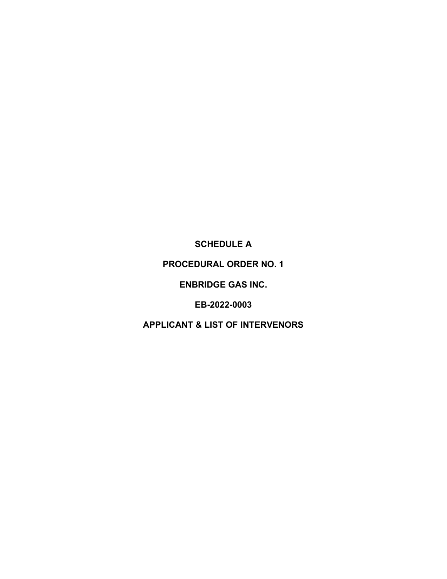**SCHEDULE A** 

**PROCEDURAL ORDER NO. 1** 

**ENBRIDGE GAS INC.**

**EB-2022-0003**

**APPLICANT & LIST OF INTERVENORS**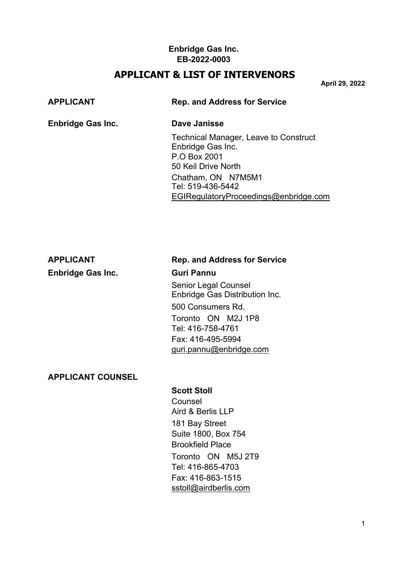# **APPLICANT & LIST OF INTERVENORS**

**April 29, 2022**

# **APPLICANT Rep. and Address for Service Enbridge Gas Inc. Dave Janisse** Technical Manager, Leave to Construct

Enbridge Gas Inc. P.O Box 2001 50 Keil Drive North Chatham, ON N7M5M1 Tel: 519-436-5442 [EGIRegulatoryProceedings@enbridge.com](mailto:EGIRegulatoryProceedings@enbridge.com)

**Enbridge Gas Inc. Guri Pannu**

# **APPLICANT Rep. and Address for Service**

Senior Legal Counsel Enbridge Gas Distribution Inc. 500 Consumers Rd. Toronto ON M2J 1P8 Tel: 416-758-4761 Fax: 416-495-5994 [guri.pannu@enbridge.com](mailto:guri.pannu@enbridge.com)

# **APPLICANT COUNSEL**

# **Scott Stoll**

Counsel Aird & Berlis LLP 181 Bay Street Suite 1800, Box 754 Brookfield Place Toronto ON M5J 2T9 Tel: 416-865-4703 Fax: 416-863-1515 [sstoll@airdberlis.com](mailto:sstoll@airdberlis.com)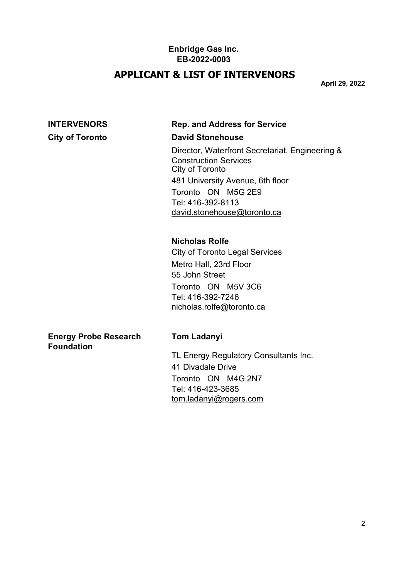# **APPLICANT & LIST OF INTERVENORS**

**April 29, 2022**

# **INTERVENORS Rep. and Address for Service**

### **City of Toronto David Stonehouse**

Director, Waterfront Secretariat, Engineering & Construction Services City of Toronto 481 University Avenue, 6th floor Toronto ON M5G 2E9 Tel: 416-392-8113 [david.stonehouse@toronto.ca](mailto:david.stonehouse@toronto.ca)

# **Nicholas Rolfe**

City of Toronto Legal Services Metro Hall, 23rd Floor 55 John Street Toronto ON M5V 3C6 Tel: 416-392-7246 [nicholas.rolfe@toronto.ca](mailto:nicholas.rolfe@toronto.ca)

**Energy Probe Research Tom Ladanyi Foundation**

TL Energy Regulatory Consultants Inc. 41 Divadale Drive Toronto ON M4G 2N7 Tel: 416-423-3685 [tom.ladanyi@rogers.com](mailto:tom.ladanyi@rogers.com)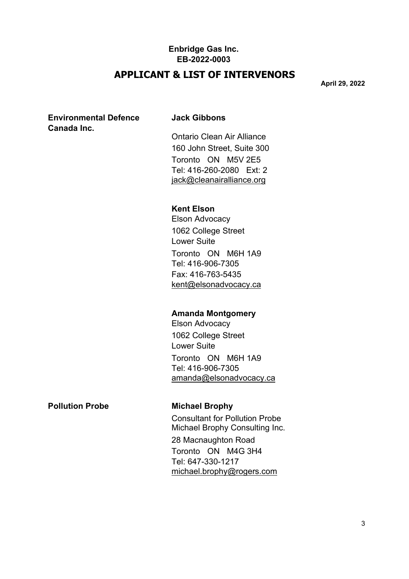# **APPLICANT & LIST OF INTERVENORS**

**April 29, 2022**

### **Environmental Defence Jack Gibbons Canada Inc.**

Ontario Clean Air Alliance 160 John Street, Suite 300 Toronto ON M5V 2E5 Tel: 416-260-2080 Ext: 2 [jack@cleanairalliance.org](mailto:jack@cleanairalliance.org)

# **Kent Elson**

Elson Advocacy 1062 College Street Lower Suite Toronto ON M6H 1A9 Tel: 416-906-7305 Fax: 416-763-5435 [kent@elsonadvocacy.ca](mailto:kent@elsonadvocacy.ca)

### **Amanda Montgomery**

Elson Advocacy 1062 College Street Lower Suite Toronto ON M6H 1A9 Tel: 416-906-7305 [amanda@elsonadvocacy.ca](mailto:amanda@elsonadvocacy.ca)

**Pollution Probe Michael Brophy**

Consultant for Pollution Probe Michael Brophy Consulting Inc. 28 Macnaughton Road Toronto ON M4G 3H4 Tel: 647-330-1217 [michael.brophy@rogers.com](mailto:michael.brophy@rogers.com)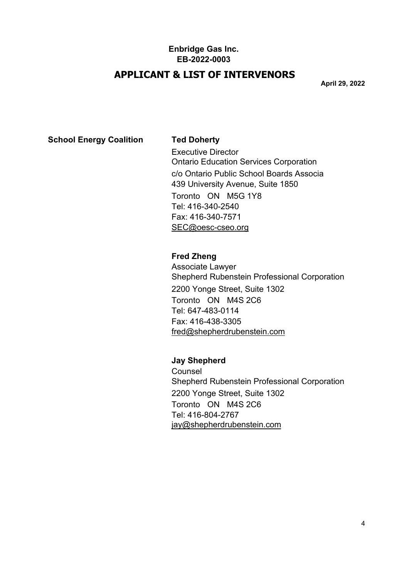# **APPLICANT & LIST OF INTERVENORS**

**April 29, 2022**

# **School Energy Coalition Ted Doherty**

Executive Director Ontario Education Services Corporation c/o Ontario Public School Boards Associa 439 University Avenue, Suite 1850 Toronto ON M5G 1Y8 Tel: 416-340-2540 Fax: 416-340-7571 [SEC@oesc-cseo.org](mailto:SEC@oesc%1Ecseo.org)

### **Fred Zheng**

Associate Lawyer Shepherd Rubenstein Professional Corporation 2200 Yonge Street, Suite 1302 Toronto ON M4S 2C6 Tel: 647-483-0114 Fax: 416-438-3305 [fred@shepherdrubenstein.com](mailto:fred@shepherdrubenstein.com)

**Jay Shepherd**

Counsel Shepherd Rubenstein Professional Corporation 2200 Yonge Street, Suite 1302 Toronto ON M4S 2C6 Tel: 416-804-2767 [jay@shepherdrubenstein.com](mailto:jay@shepherdrubenstein.com)